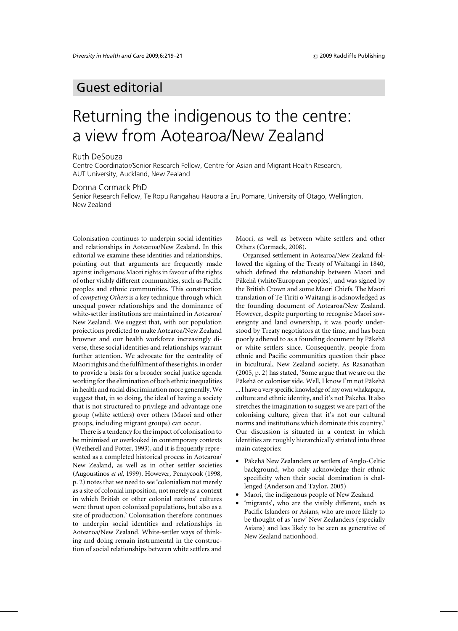# **Guest editorial**

# Returning the indigenous to the centre: a view from Aotearoa/New Zealand

### **Ruth DeSouza**

Centre Coordinator/Senior Research Fellow, Centre for Asian and Migrant Health Research, AUT University, Auckland, New Zealand

## Donna Cormack PhD

Senior Research Fellow, Te Ropu Rangahau Hauora a Eru Pomare, University of Otago, Wellington, New Zealand

Colonisation continues to underpin social identities and relationships in Aotearoa/New Zealand. In this editorial we examine these identities and relationships, pointing out that arguments are frequently made against indigenous Maori rights in favour of the rights of other visibly different communities, such as Pacific peoples and ethnic communities. This construction of competing Others is a key technique through which unequal power relationships and the dominance of white-settler institutions are maintained in Aotearoa/ New Zealand. We suggest that, with our population projections predicted to make Aotearoa/New Zealand browner and our health workforce increasingly diverse, these social identities and relationships warrant further attention. We advocate for the centrality of Maori rights and the fulfilment of these rights, in order to provide a basis for a broader social justice agenda working for the elimination of both ethnic inequalities in health and racial discrimination more generally. We suggest that, in so doing, the ideal of having a society that is not structured to privilege and advantage one group (white settlers) over others (Maori and other groups, including migrant groups) can occur.

There is a tendency for the impact of colonisation to be minimised or overlooked in contemporary contexts (Wetherell and Potter, 1993), and it is frequently represented as a completed historical process in Aotearoa/ New Zealand, as well as in other settler societies (Augoustinos et al, 1999). However, Pennycook (1998, p. 2) notes that we need to see 'colonialism not merely as a site of colonial imposition, not merely as a context in which British or other colonial nations' cultures were thrust upon colonized populations, but also as a site of production.' Colonisation therefore continues to underpin social identities and relationships in Aotearoa/New Zealand. White-settler ways of thinking and doing remain instrumental in the construction of social relationships between white settlers and

Maori, as well as between white settlers and other Others (Cormack, 2008).

Organised settlement in Aotearoa/New Zealand followed the signing of the Treaty of Waitangi in 1840, which defined the relationship between Maori and Pākehā (white/European peoples), and was signed by the British Crown and some Maori Chiefs. The Maori translation of Te Tiriti o Waitangi is acknowledged as the founding document of Aotearoa/New Zealand. However, despite purporting to recognise Maori sovereignty and land ownership, it was poorly understood by Treaty negotiators at the time, and has been poorly adhered to as a founding document by Pākehā or white settlers since. Consequently, people from ethnic and Pacific communities question their place in bicultural, New Zealand society. As Rasanathan (2005, p. 2) has stated, 'Some argue that we are on the Pākehā or coloniser side. Well, I know I'm not Pākehā ... I have a very specific knowledge of my own whakapapa, culture and ethnic identity, and it's not Pākehā. It also stretches the imagination to suggest we are part of the colonising culture, given that it's not our cultural norms and institutions which dominate this country.' Our discussion is situated in a context in which identities are roughly hierarchically striated into three main categories:

- Pākehā New Zealanders or settlers of Anglo-Celtic background, who only acknowledge their ethnic specificity when their social domination is challenged (Anderson and Taylor, 2005)
- Maori, the indigenous people of New Zealand
- · 'migrants', who are the visibly different, such as Pacific Islanders or Asians, who are more likely to be thought of as 'new' New Zealanders (especially Asians) and less likely to be seen as generative of New Zealand nationhood.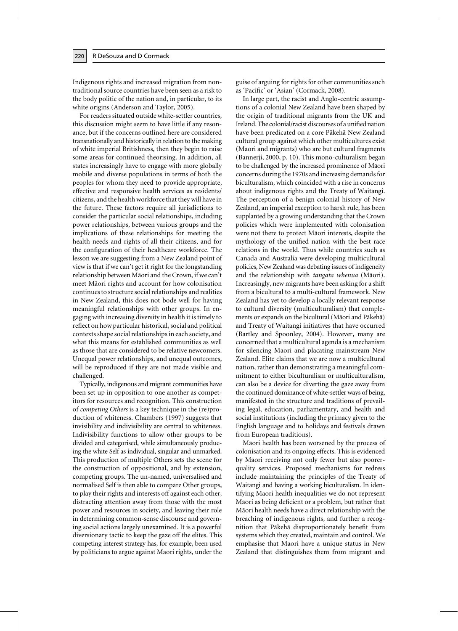220

Indigenous rights and increased migration from nontraditional source countries have been seen as a risk to the body politic of the nation and, in particular, to its white origins (Anderson and Taylor, 2005).

For readers situated outside white-settler countries, this discussion might seem to have little if any resonance, but if the concerns outlined here are considered transnationally and historically in relation to the making of white imperial Britishness, then they begin to raise some areas for continued theorising. In addition, all states increasingly have to engage with more globally mobile and diverse populations in terms of both the peoples for whom they need to provide appropriate, effective and responsive health services as residents/ citizens, and the health workforce that they will have in the future. These factors require all jurisdictions to consider the particular social relationships, including power relationships, between various groups and the implications of these relationships for meeting the health needs and rights of all their citizens, and for the configuration of their healthcare workforce. The lesson we are suggesting from a New Zealand point of view is that if we can't get it right for the longstanding relationship between Māori and the Crown, if we can't meet Māori rights and account for how colonisation continues to structure social relationships and realities in New Zealand, this does not bode well for having meaningful relationships with other groups. In engaging with increasing diversity in health it is timely to reflect on how particular historical, social and political contexts shape social relationships in each society, and what this means for established communities as well as those that are considered to be relative newcomers. Unequal power relationships, and unequal outcomes, will be reproduced if they are not made visible and challenged.

Typically, indigenous and migrant communities have been set up in opposition to one another as competitors for resources and recognition. This construction of *competing Others* is a key technique in the (re)production of whiteness. Chambers (1997) suggests that invisibility and indivisibility are central to whiteness. Indivisibility functions to allow other groups to be divided and categorised, while simultaneously producing the white Self as individual, singular and unmarked. This production of multiple Others sets the scene for the construction of oppositional, and by extension, competing groups. The un-named, universalised and normalised Self is then able to compare Other groups, to play their rights and interests off against each other, distracting attention away from those with the most power and resources in society, and leaving their role in determining common-sense discourse and governing social actions largely unexamined. It is a powerful diversionary tactic to keep the gaze off the elites. This competing interest strategy has, for example, been used by politicians to argue against Maori rights, under the guise of arguing for rights for other communities such as 'Pacific' or 'Asian' (Cormack, 2008).

In large part, the racist and Anglo-centric assumptions of a colonial New Zealand have been shaped by the origin of traditional migrants from the UK and Ireland. The colonial/racist discourses of a unified nation have been predicated on a core Pākehā New Zealand cultural group against which other multicultures exist (Maori and migrants) who are but cultural fragments (Bannerji, 2000, p. 10). This mono-culturalism began to be challenged by the increased prominence of Māori concerns during the 1970s and increasing demands for biculturalism, which coincided with a rise in concerns about indigenous rights and the Treaty of Waitangi. The perception of a benign colonial history of New Zealand, an imperial exception to harsh rule, has been supplanted by a growing understanding that the Crown policies which were implemented with colonisation were not there to protect Māori interests, despite the mythology of the unified nation with the best race relations in the world. Thus while countries such as Canada and Australia were developing multicultural policies, New Zealand was debating issues of indigeneity and the relationship with tangata whenua (Māori). Increasingly, new migrants have been asking for a shift from a bicultural to a multi-cultural framework. New Zealand has yet to develop a locally relevant response to cultural diversity (multiculturalism) that complements or expands on the bicultural (Māori and Pākehā) and Treaty of Waitangi initiatives that have occurred (Bartley and Spoonley, 2004). However, many are concerned that a multicultural agenda is a mechanism for silencing Māori and placating mainstream New Zealand. Elite claims that we are now a multicultural nation, rather than demonstrating a meaningful commitment to either biculturalism or multiculturalism, can also be a device for diverting the gaze away from the continued dominance of white-settler ways of being, manifested in the structure and traditions of prevailing legal, education, parliamentary, and health and social institutions (including the primacy given to the English language and to holidays and festivals drawn from European traditions).

Māori health has been worsened by the process of colonisation and its ongoing effects. This is evidenced by Māori receiving not only fewer but also poorerquality services. Proposed mechanisms for redress include maintaining the principles of the Treaty of Waitangi and having a working biculturalism. In identifying Maori health inequalities we do not represent Māori as being deficient or a problem, but rather that Māori health needs have a direct relationship with the breaching of indigenous rights, and further a recognition that Pākehā disproportionately benefit from systems which they created, maintain and control. We emphasise that Māori have a unique status in New Zealand that distinguishes them from migrant and